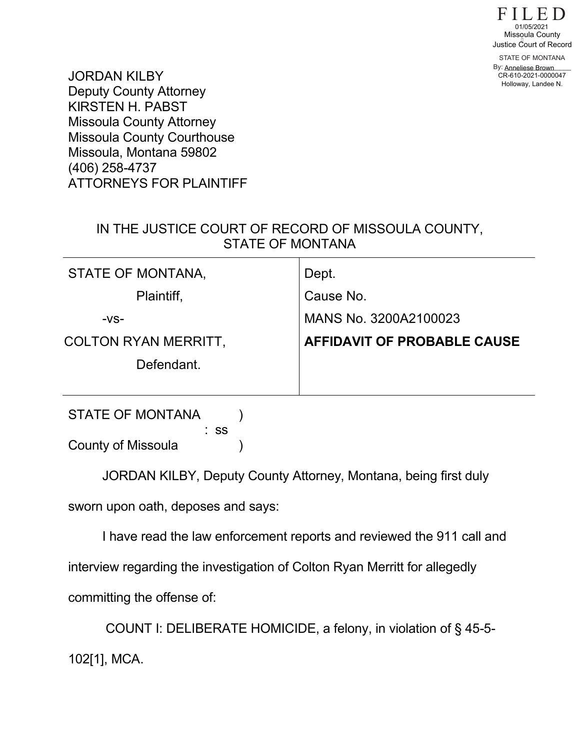

STATE OF MONTANA By: <u>Anneliese Brown</u> 01/05/2021<br>Missqula County<br>ustice Court of Reco<br>STATE OF MONTANA<br>V: Anneliese Brown<br>CR-610-2021-0000047 Holloway, Landee N.

JORDAN KILBY Deputy County Attorney KIRSTEN H. PABST Missoula County Attorney Missoula County Courthouse Missoula, Montana 59802 (406) 258-4737 ATTORNEYS FOR PLAINTIFF

## IN THE JUSTICE COURT OF RECORD OF MISSOULA COUNTY, STATE OF MONTANA

| STATE OF MONTANA,           | Dept.                              |
|-----------------------------|------------------------------------|
| Plaintiff,                  | Cause No.                          |
| $-VS-$                      | MANS No. 3200A2100023              |
| <b>COLTON RYAN MERRITT,</b> | <b>AFFIDAVIT OF PROBABLE CAUSE</b> |
| Defendant.                  |                                    |
|                             |                                    |
| <b>STATE OF MONTANA</b>     |                                    |

 : ss County of Missoula (1)

JORDAN KILBY, Deputy County Attorney, Montana, being first duly sworn upon oath, deposes and says:

I have read the law enforcement reports and reviewed the 911 call and interview regarding the investigation of Colton Ryan Merritt for allegedly committing the offense of:

COUNT I: DELIBERATE HOMICIDE, a felony, in violation of § 45-5- 102[1], MCA.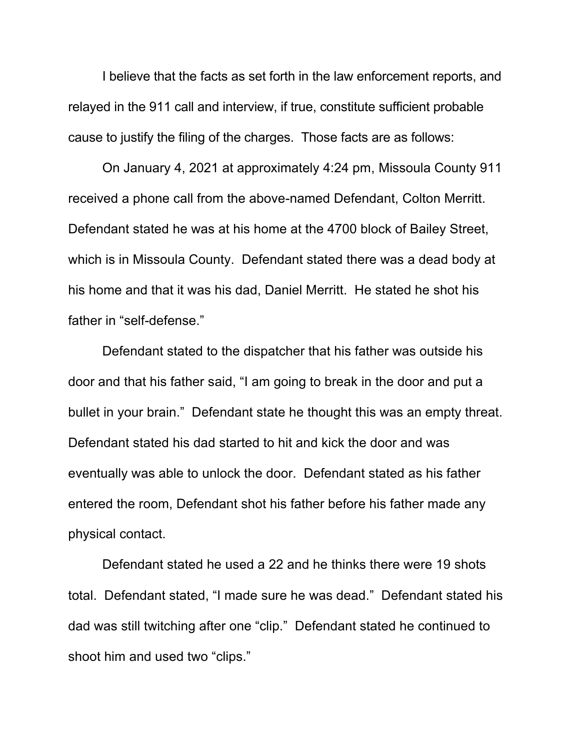I believe that the facts as set forth in the law enforcement reports, and relayed in the 911 call and interview, if true, constitute sufficient probable cause to justify the filing of the charges. Those facts are as follows:

On January 4, 2021 at approximately 4:24 pm, Missoula County 911 received a phone call from the above-named Defendant, Colton Merritt. Defendant stated he was at his home at the 4700 block of Bailey Street, which is in Missoula County. Defendant stated there was a dead body at his home and that it was his dad, Daniel Merritt. He stated he shot his father in "self-defense."

Defendant stated to the dispatcher that his father was outside his door and that his father said, "I am going to break in the door and put a bullet in your brain." Defendant state he thought this was an empty threat. Defendant stated his dad started to hit and kick the door and was eventually was able to unlock the door. Defendant stated as his father entered the room, Defendant shot his father before his father made any physical contact.

Defendant stated he used a 22 and he thinks there were 19 shots total. Defendant stated, "I made sure he was dead." Defendant stated his dad was still twitching after one "clip." Defendant stated he continued to shoot him and used two "clips."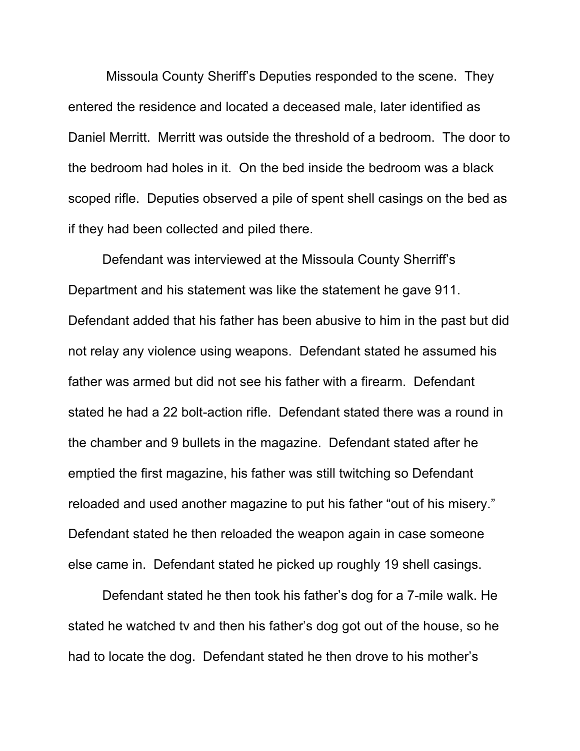Missoula County Sheriff's Deputies responded to the scene. They entered the residence and located a deceased male, later identified as Daniel Merritt. Merritt was outside the threshold of a bedroom. The door to the bedroom had holes in it. On the bed inside the bedroom was a black scoped rifle. Deputies observed a pile of spent shell casings on the bed as if they had been collected and piled there.

Defendant was interviewed at the Missoula County Sherriff's Department and his statement was like the statement he gave 911. Defendant added that his father has been abusive to him in the past but did not relay any violence using weapons. Defendant stated he assumed his father was armed but did not see his father with a firearm. Defendant stated he had a 22 bolt-action rifle. Defendant stated there was a round in the chamber and 9 bullets in the magazine. Defendant stated after he emptied the first magazine, his father was still twitching so Defendant reloaded and used another magazine to put his father "out of his misery." Defendant stated he then reloaded the weapon again in case someone else came in. Defendant stated he picked up roughly 19 shell casings.

Defendant stated he then took his father's dog for a 7-mile walk. He stated he watched tv and then his father's dog got out of the house, so he had to locate the dog. Defendant stated he then drove to his mother's